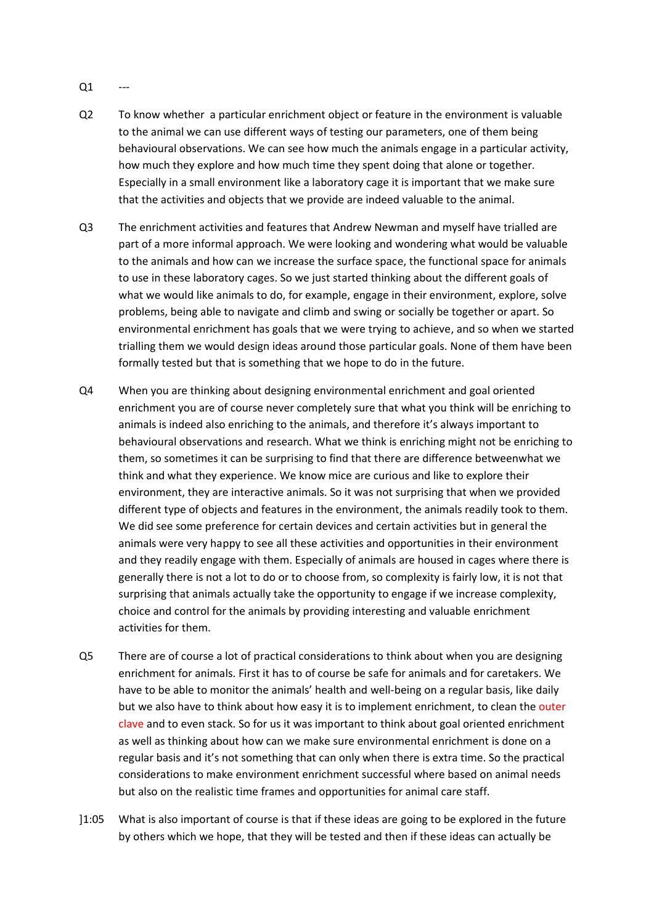- $Q1$
- Q2 To know whether a particular enrichment object or feature in the environment is valuable to the animal we can use different ways of testing our parameters, one of them being behavioural observations. We can see how much the animals engage in a particular activity, how much they explore and how much time they spent doing that alone or together. Especially in a small environment like a laboratory cage it is important that we make sure that the activities and objects that we provide are indeed valuable to the animal.
- Q3 The enrichment activities and features that Andrew Newman and myself have trialled are part of a more informal approach. We were looking and wondering what would be valuable to the animals and how can we increase the surface space, the functional space for animals to use in these laboratory cages. So we just started thinking about the different goals of what we would like animals to do, for example, engage in their environment, explore, solve problems, being able to navigate and climb and swing or socially be together or apart. So environmental enrichment has goals that we were trying to achieve, and so when we started trialling them we would design ideas around those particular goals. None of them have been formally tested but that is something that we hope to do in the future.
- Q4 When you are thinking about designing environmental enrichment and goal oriented enrichment you are of course never completely sure that what you think will be enriching to animals is indeed also enriching to the animals, and therefore it's always important to behavioural observations and research. What we think is enriching might not be enriching to them, so sometimes it can be surprising to find that there are difference betweenwhat we think and what they experience. We know mice are curious and like to explore their environment, they are interactive animals. So it was not surprising that when we provided different type of objects and features in the environment, the animals readily took to them. We did see some preference for certain devices and certain activities but in general the animals were very happy to see all these activities and opportunities in their environment and they readily engage with them. Especially of animals are housed in cages where there is generally there is not a lot to do or to choose from, so complexity is fairly low, it is not that surprising that animals actually take the opportunity to engage if we increase complexity, choice and control for the animals by providing interesting and valuable enrichment activities for them.
- Q5 There are of course a lot of practical considerations to think about when you are designing enrichment for animals. First it has to of course be safe for animals and for caretakers. We have to be able to monitor the animals' health and well-being on a regular basis, like daily but we also have to think about how easy it is to implement enrichment, to clean the outer clave and to even stack. So for us it was important to think about goal oriented enrichment as well as thinking about how can we make sure environmental enrichment is done on a regular basis and it's not something that can only when there is extra time. So the practical considerations to make environment enrichment successful where based on animal needs but also on the realistic time frames and opportunities for animal care staff.
- ]1:05 What is also important of course is that if these ideas are going to be explored in the future by others which we hope, that they will be tested and then if these ideas can actually be